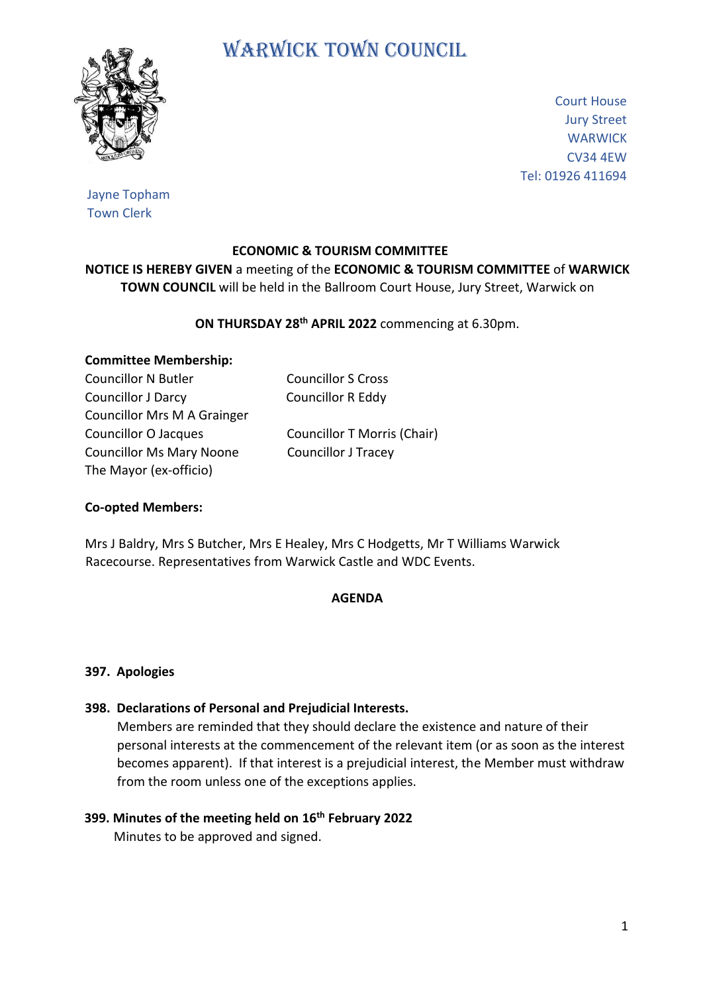# WARWICK TOWN COUNCIL



Court House Jury Street **WARWICK** CV34 4EW Tel: 01926 411694

## Jayne Topham Town Clerk

## **ECONOMIC & TOURISM COMMITTEE**

**NOTICE IS HEREBY GIVEN** a meeting of the **ECONOMIC & TOURISM COMMITTEE** of **WARWICK TOWN COUNCIL** will be held in the Ballroom Court House, Jury Street, Warwick on

## **ON THURSDAY 28th APRIL 2022** commencing at 6.30pm.

# **Committee Membership:**

Councillor N Butler Councillor S Cross Councillor J Darcy Councillor R Eddy Councillor Mrs M A Grainger Councillor O Jacques Councillor T Morris (Chair) Councillor Ms Mary Noone Councillor J Tracey The Mayor (ex-officio)

# **Co-opted Members:**

Mrs J Baldry, Mrs S Butcher, Mrs E Healey, Mrs C Hodgetts, Mr T Williams Warwick Racecourse. Representatives from Warwick Castle and WDC Events.

#### **AGENDA**

#### **397. Apologies**

**398. Declarations of Personal and Prejudicial Interests.**

 Members are reminded that they should declare the existence and nature of their personal interests at the commencement of the relevant item (or as soon as the interest becomes apparent). If that interest is a prejudicial interest, the Member must withdraw from the room unless one of the exceptions applies.

# **399. Minutes of the meeting held on 16th February 2022**

Minutes to be approved and signed.